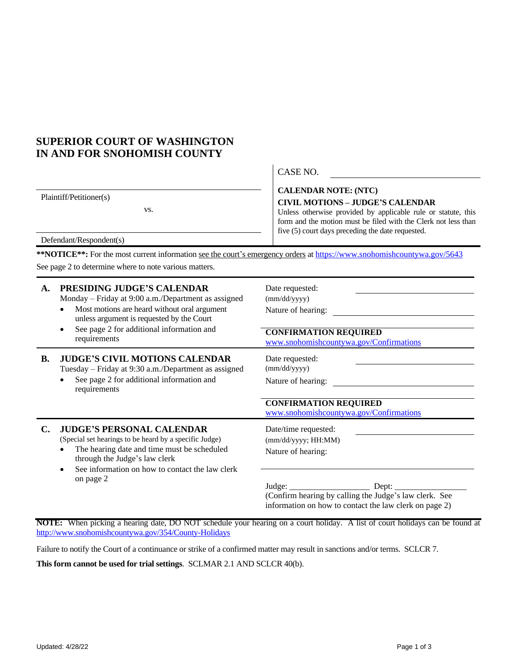## **SUPERIOR COURT OF WASHINGTON IN AND FOR SNOHOMISH COUNTY**

Plaintiff/Petitioner(s)

vs.

## CASE NO.

## **CALENDAR NOTE: (NTC) CIVIL MOTIONS – JUDGE'S CALENDAR**

Unless otherwise provided by applicable rule or statute, this form and the motion must be filed with the Clerk not less than five (5) court days preceding the date requested.

Defendant/Respondent(s)

**\*\*NOTICE\*\*:** For the most current information see the court's emergency orders at <https://www.snohomishcountywa.gov/5643> [See](https://www.snohomishcountywa.gov/5643) [page](https://www.snohomishcountywa.gov/5643) 2 to [determine](https://www.snohomishcountywa.gov/5643) where to note various matters.

| A. | PRESIDING JUDGE'S CALENDAR<br>Monday – Friday at 9:00 a.m./Department as assigned<br>Most motions are heard without oral argument<br>unless argument is requested by the Court<br>See page 2 for additional information and<br>requirements | Date requested:<br>(mm/dd/yyyy)<br>Nature of hearing:<br><b>CONFIRMATION REQUIRED</b><br>www.snohomishcountywa.gov/Confirmations                                                               |  |
|----|---------------------------------------------------------------------------------------------------------------------------------------------------------------------------------------------------------------------------------------------|------------------------------------------------------------------------------------------------------------------------------------------------------------------------------------------------|--|
| В. | <b>JUDGE'S CIVIL MOTIONS CALENDAR</b><br>Tuesday – Friday at 9:30 a.m./Department as assigned<br>See page 2 for additional information and<br>requirements                                                                                  | Date requested:<br>(mm/dd/yyyy)<br>Nature of hearing:<br><b>CONFIRMATION REQUIRED</b><br>www.snohomishcountywa.gov/Confirmations                                                               |  |
| C. | <b>JUDGE'S PERSONAL CALENDAR</b><br>(Special set hearings to be heard by a specific Judge)<br>The hearing date and time must be scheduled<br>through the Judge's law clerk<br>See information on how to contact the law clerk<br>on page 2  | Date/time requested:<br>(mm/dd/yyyy; HH:MM)<br>Nature of hearing:<br>Dept:<br>(Confirm hearing by calling the Judge's law clerk. See<br>information on how to contact the law clerk on page 2) |  |

**NOTE:** When picking a hearing date, DO NOT schedule your hearing on a court holiday. A list of court holidays can be found at <http://www.snohomishcountywa.gov/354/County-Holidays>

Failure to notify the Court of a continuance or strike of a confirmed matter may result in sanctions and/or terms. SCLCR 7.

**This form cannot be used for trial settings**. SCLMAR 2.1 AND SCLCR 40(b).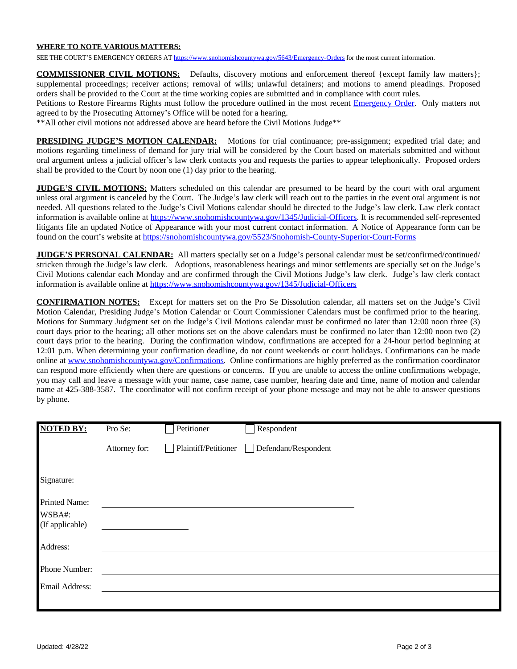## **WHERE TO NOTE VARIOUS MATTERS:**

SEE THE COURT'S EMERGENCY ORDERS AT https://www.snohomishcountywa.gov/5643/Emergency-Orders for the most current information.

**COMMISSIONER CIVIL MOTIONS:** Defaults, discovery motions and enforcement thereof {except family law matters}; supplemental proceedings; receiver actions; removal of wills; unlawful detainers; and motions to amend pleadings. Proposed orders shall be provided to the Court at the time working copies are submitted and in compliance with court rules.

Petitions to Restore Firearms Rights must follow the procedure outlined in the most recent [Emergency Order.](https://www.snohomishcountywa.gov/5643/Emergency-Orders) Only matters not agreed to by the Prosecuting Attorney's Office will be noted for a hearing.

\*\*All other civil motions not addressed above are heard before the Civil Motions Judge\*\*

**PRESIDING JUDGE'S MOTION CALENDAR:** Motions for trial continuance; pre-assignment; expedited trial date; and motions regarding timeliness of demand for jury trial will be considered by the Court based on materials submitted and without oral argument unless a judicial officer's law clerk contacts you and requests the parties to appear telephonically. Proposed orders shall be provided to the Court by noon one (1) day prior to the hearing.

**JUDGE'S CIVIL MOTIONS:** Matters scheduled on this calendar are presumed to be heard by the court with oral argument unless oral argument is canceled by the Court. The Judge's law clerk will reach out to the parties in the event oral argument is not needed. All questions related to the Judge's Civil Motions calendar should be directed to the Judge's law clerk. Law clerk contact information is available online at [https://www.snohomishcountywa.gov/1345/Judicial-Officers.](https://www.snohomishcountywa.gov/1345/Judicial-Officers) It is recommended self-represented litigants file an updated Notice of Appearance with your most current contact information. A Notice of Appearance form can be found on the court's website at <https://snohomishcountywa.gov/5523/Snohomish-County-Superior-Court-Forms>

**JUDGE'S PERSONAL CALENDAR:** All matters specially set on a Judge's personal calendar must be set/confirmed/continued/ stricken through the Judge's law clerk. Adoptions, reasonableness hearings and minor settlements are specially set on the Judge's Civil Motions calendar each Monday and are confirmed through the Civil Motions Judge's law clerk. Judge's law clerk contact information is available online at <https://www.snohomishcountywa.gov/1345/Judicial-Officers>

**CONFIRMATION NOTES:** Except for matters set on the Pro Se Dissolution calendar, all matters set on the Judge's Civil Motion Calendar, Presiding Judge's Motion Calendar or Court Commissioner Calendars must be confirmed prior to the hearing. Motions for Summary Judgment set on the Judge's Civil Motions calendar must be confirmed no later than 12:00 noon three (3) court days prior to the hearing; all other motions set on the above calendars must be confirmed no later than 12:00 noon two (2) court days prior to the hearing. During the confirmation window, confirmations are accepted for a 24-hour period beginning at 12:01 p.m. When determining your confirmation deadline, do not count weekends or court holidays. Confirmations can be made online at [www.snohomishcountywa.gov/Confirmations](http://www.snohomishcountywa.gov/Confirmations). Online confirmations are highly preferred as the confirmation coordinator can respond more efficiently when there are questions or concerns. If you are unable to access the online confirmations webpage, you may call and leave a message with your name, case name, case number, hearing date and time, name of motion and calendar name at 425-388-3587. The coordinator will not confirm receipt of your phone message and may not be able to answer questions by phone.

| <b>NOTED BY:</b>            | Pro Se:       | Petitioner           | Respondent           |  |
|-----------------------------|---------------|----------------------|----------------------|--|
|                             | Attorney for: | Plaintiff/Petitioner | Defendant/Respondent |  |
| Signature:                  |               |                      |                      |  |
| Printed Name:<br>WSBA#:     |               |                      |                      |  |
| (If applicable)<br>Address: |               |                      |                      |  |
| Phone Number:               |               |                      |                      |  |
| Email Address:              |               |                      |                      |  |
|                             |               |                      |                      |  |